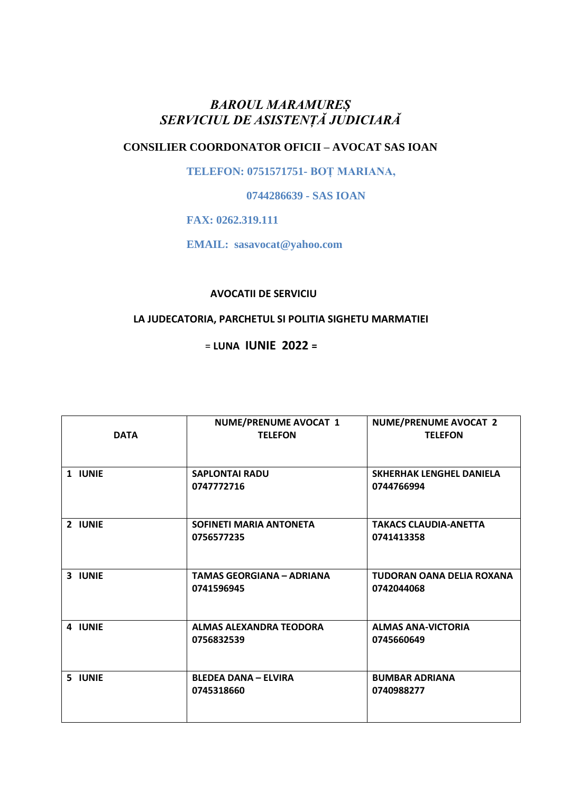# *BAROUL MARAMUREȘ SERVICIUL DE ASISTENȚĂ JUDICIARĂ*

# **CONSILIER COORDONATOR OFICII – AVOCAT SAS IOAN**

 **TELEFON: 0751571751- BOȚ MARIANA,** 

 **0744286639 - SAS IOAN**

 **FAX: 0262.319.111**

 **EMAIL: sasavocat@yahoo.com**

#### **AVOCATII DE SERVICIU**

# **LA JUDECATORIA, PARCHETUL SI POLITIA SIGHETU MARMATIEI**

## = **LUNA IUNIE 2022 =**

| <b>DATA</b> | <b>NUME/PRENUME AVOCAT 1</b><br><b>TELEFON</b> | <b>NUME/PRENUME AVOCAT 2</b><br><b>TELEFON</b> |
|-------------|------------------------------------------------|------------------------------------------------|
| 1 IUNIE     | <b>SAPLONTAI RADU</b><br>0747772716            | <b>SKHERHAK LENGHEL DANIELA</b><br>0744766994  |
| 2 IUNIE     | SOFINETI MARIA ANTONETA<br>0756577235          | <b>TAKACS CLAUDIA-ANETTA</b><br>0741413358     |
| 3 IUNIE     | <b>TAMAS GEORGIANA - ADRIANA</b><br>0741596945 | TUDORAN OANA DELIA ROXANA<br>0742044068        |
| 4 IUNIE     | ALMAS ALEXANDRA TEODORA<br>0756832539          | <b>ALMAS ANA-VICTORIA</b><br>0745660649        |
| 5 IUNIE     | <b>BLEDEA DANA - ELVIRA</b><br>0745318660      | <b>BUMBAR ADRIANA</b><br>0740988277            |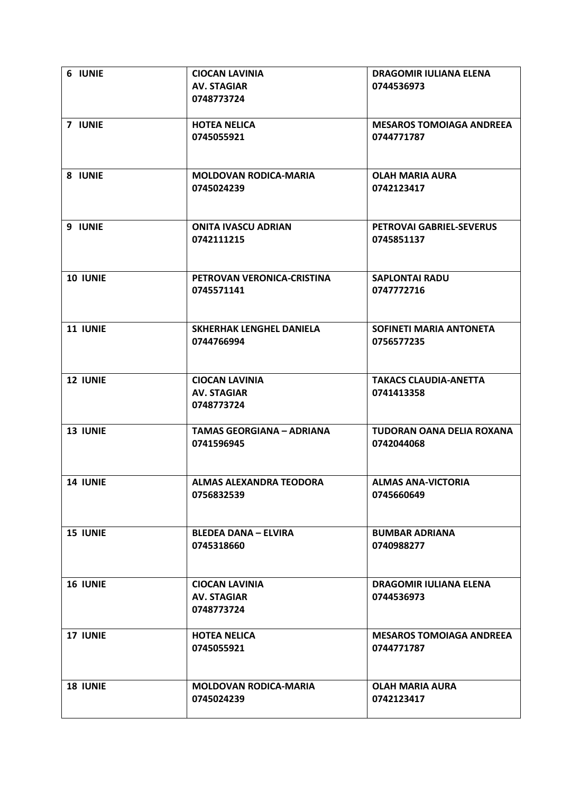| 6 IUNIE         | <b>CIOCAN LAVINIA</b><br><b>AV. STAGIAR</b><br>0748773724 | <b>DRAGOMIR IULIANA ELENA</b><br>0744536973   |
|-----------------|-----------------------------------------------------------|-----------------------------------------------|
| 7 IUNIE         | <b>HOTEA NELICA</b><br>0745055921                         | <b>MESAROS TOMOIAGA ANDREEA</b><br>0744771787 |
| 8 IUNIE         | <b>MOLDOVAN RODICA-MARIA</b><br>0745024239                | <b>OLAH MARIA AURA</b><br>0742123417          |
| 9 IUNIE         | <b>ONITA IVASCU ADRIAN</b><br>0742111215                  | PETROVAI GABRIEL-SEVERUS<br>0745851137        |
| 10 IUNIE        | PETROVAN VERONICA-CRISTINA<br>0745571141                  | <b>SAPLONTAI RADU</b><br>0747772716           |
| 11 IUNIE        | <b>SKHERHAK LENGHEL DANIELA</b><br>0744766994             | SOFINETI MARIA ANTONETA<br>0756577235         |
| <b>12 IUNIE</b> | <b>CIOCAN LAVINIA</b><br><b>AV. STAGIAR</b><br>0748773724 | <b>TAKACS CLAUDIA-ANETTA</b><br>0741413358    |
| <b>13 IUNIE</b> | <b>TAMAS GEORGIANA - ADRIANA</b><br>0741596945            | TUDORAN OANA DELIA ROXANA<br>0742044068       |
| <b>14 IUNIE</b> | ALMAS ALEXANDRA TEODORA<br>0756832539                     | <b>ALMAS ANA-VICTORIA</b><br>0745660649       |
| <b>15 IUNIE</b> | <b>BLEDEA DANA - ELVIRA</b><br>0745318660                 | <b>BUMBAR ADRIANA</b><br>0740988277           |
| <b>16 IUNIE</b> | <b>CIOCAN LAVINIA</b><br><b>AV. STAGIAR</b><br>0748773724 | <b>DRAGOMIR IULIANA ELENA</b><br>0744536973   |
| <b>17 IUNIE</b> | <b>HOTEA NELICA</b><br>0745055921                         | <b>MESAROS TOMOIAGA ANDREEA</b><br>0744771787 |
| <b>18 IUNIE</b> | <b>MOLDOVAN RODICA-MARIA</b><br>0745024239                | <b>OLAH MARIA AURA</b><br>0742123417          |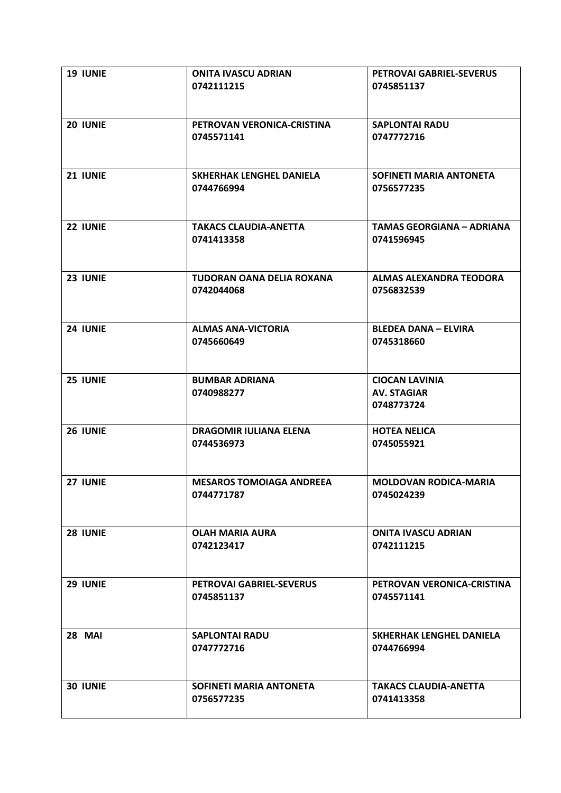| 19 IUNIE      | <b>ONITA IVASCU ADRIAN</b><br>0742111215      | PETROVAI GABRIEL-SEVERUS<br>0745851137                    |
|---------------|-----------------------------------------------|-----------------------------------------------------------|
| 20 IUNIE      | PETROVAN VERONICA-CRISTINA<br>0745571141      | <b>SAPLONTAI RADU</b><br>0747772716                       |
| 21 IUNIE      | SKHERHAK LENGHEL DANIELA<br>0744766994        | SOFINETI MARIA ANTONETA<br>0756577235                     |
| 22 IUNIE      | <b>TAKACS CLAUDIA-ANETTA</b><br>0741413358    | <b>TAMAS GEORGIANA - ADRIANA</b><br>0741596945            |
| 23 IUNIE      | TUDORAN OANA DELIA ROXANA<br>0742044068       | ALMAS ALEXANDRA TEODORA<br>0756832539                     |
| 24 IUNIE      | <b>ALMAS ANA-VICTORIA</b><br>0745660649       | <b>BLEDEA DANA - ELVIRA</b><br>0745318660                 |
| 25 IUNIE      | <b>BUMBAR ADRIANA</b><br>0740988277           | <b>CIOCAN LAVINIA</b><br><b>AV. STAGIAR</b><br>0748773724 |
| 26 IUNIE      | <b>DRAGOMIR IULIANA ELENA</b><br>0744536973   | <b>HOTEA NELICA</b><br>0745055921                         |
| 27 IUNIE      | <b>MESAROS TOMOIAGA ANDREEA</b><br>0744771787 | <b>MOLDOVAN RODICA-MARIA</b><br>0745024239                |
| 28 IUNIE      | <b>OLAH MARIA AURA</b><br>0742123417          | <b>ONITA IVASCU ADRIAN</b><br>0742111215                  |
| 29 IUNIE      | PETROVAI GABRIEL-SEVERUS<br>0745851137        | PETROVAN VERONICA-CRISTINA<br>0745571141                  |
| <b>28 MAI</b> | <b>SAPLONTAI RADU</b><br>0747772716           | SKHERHAK LENGHEL DANIELA<br>0744766994                    |
| 30 IUNIE      | SOFINETI MARIA ANTONETA<br>0756577235         | <b>TAKACS CLAUDIA-ANETTA</b><br>0741413358                |